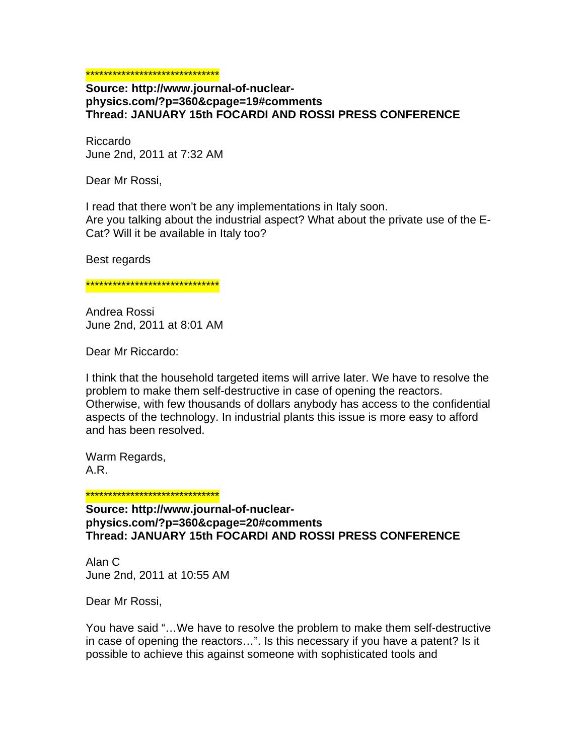## \*\*\*\*\*\*\*\*\*\*\*\*\*\*\*\*\*\*\*\*\*\*\*\*\*\*\*\*\*\*

## **Source: http://www.journal-of-nuclearphysics.com/?p=360&cpage=19#comments Thread: JANUARY 15th FOCARDI AND ROSSI PRESS CONFERENCE**

Riccardo June 2nd, 2011 at 7:32 AM

Dear Mr Rossi,

I read that there won't be any implementations in Italy soon. Are you talking about the industrial aspect? What about the private use of the E-Cat? Will it be available in Italy too?

Best regards

<mark>\*\*\*\*\*\*\*\*\*\*\*\*\*\*\*\*\*\*\*\*\*\*\*\*\*\*\*\*\*</mark>

Andrea Rossi June 2nd, 2011 at 8:01 AM

Dear Mr Riccardo:

I think that the household targeted items will arrive later. We have to resolve the problem to make them self-destructive in case of opening the reactors. Otherwise, with few thousands of dollars anybody has access to the confidential aspects of the technology. In industrial plants this issue is more easy to afford and has been resolved.

Warm Regards, A.R.

\*\*\*\*\*\*\*\*\*\*\*\*\*\*\*\*\*\*\*\*\*\*\*\*\*\*\*\*\*\*

**Source: http://www.journal-of-nuclearphysics.com/?p=360&cpage=20#comments Thread: JANUARY 15th FOCARDI AND ROSSI PRESS CONFERENCE** 

Alan C June 2nd, 2011 at 10:55 AM

Dear Mr Rossi,

You have said "…We have to resolve the problem to make them self-destructive in case of opening the reactors…". Is this necessary if you have a patent? Is it possible to achieve this against someone with sophisticated tools and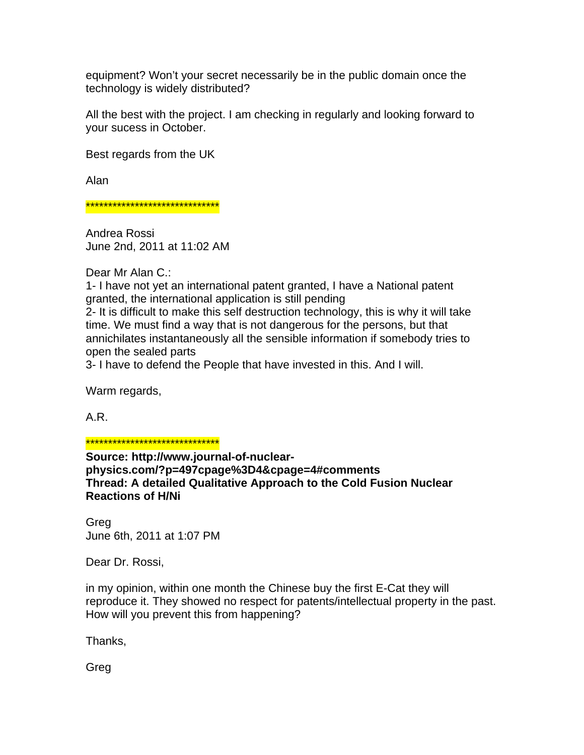equipment? Won't your secret necessarily be in the public domain once the technology is widely distributed?

All the best with the project. I am checking in regularly and looking forward to your sucess in October.

Best regards from the UK

Alan

\*\*\*\*\*\*\*\*\*\*\*\*\*\*\*\*\*\*\*\*\*\*\*\*\*\*\*\*\*\*

Andrea Rossi June 2nd, 2011 at 11:02 AM

Dear Mr Alan C.:

1- I have not yet an international patent granted, I have a National patent granted, the international application is still pending

2- It is difficult to make this self destruction technology, this is why it will take time. We must find a way that is not dangerous for the persons, but that annichilates instantaneously all the sensible information if somebody tries to open the sealed parts

3- I have to defend the People that have invested in this. And I will.

Warm regards,

A.R.

\*\*\*\*\*\*\*\*\*\*\*\*\*\*\*\*\*\*\*\*\*\*\*\*\*\*\*\*\*\*

**Source: http://www.journal-of-nuclearphysics.com/?p=497cpage%3D4&cpage=4#comments Thread: A detailed Qualitative Approach to the Cold Fusion Nuclear Reactions of H/Ni** 

Greg June 6th, 2011 at 1:07 PM

Dear Dr. Rossi,

in my opinion, within one month the Chinese buy the first E-Cat they will reproduce it. They showed no respect for patents/intellectual property in the past. How will you prevent this from happening?

Thanks,

Greg